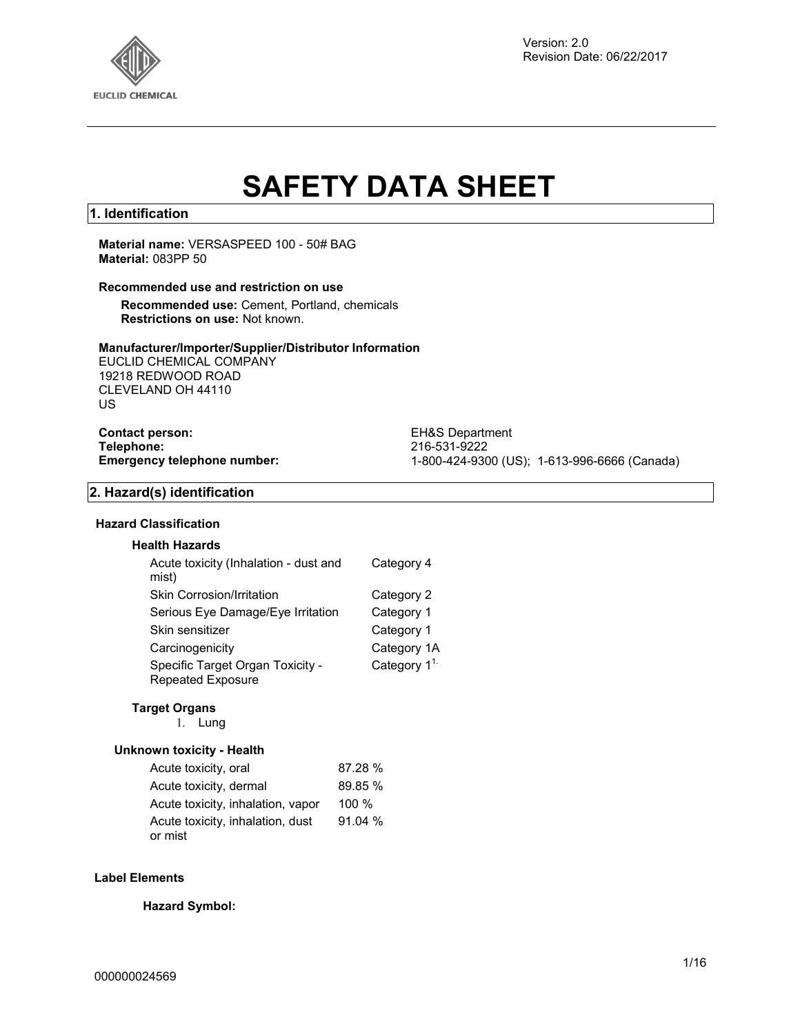

# **SAFETY DATA SHEET**

#### **1. Identification**

#### **Material name:** VERSASPEED 100 - 50# BAG **Material:** 083PP 50

### **Recommended use and restriction on use**

**Recommended use:** Cement, Portland, chemicals **Restrictions on use:** Not known.

#### **Manufacturer/Importer/Supplier/Distributor Information**

EUCLID CHEMICAL COMPANY 19218 REDWOOD ROAD CLEVELAND OH 44110 US

**Contact person:** EH&S Department<br> **Telephone:** 216-531-9222 **Telephone:** 216-531-9222

**Emergency telephone number:** 1-800-424-9300 (US); 1-613-996-6666 (Canada)

#### **2. Hazard(s) identification**

#### **Hazard Classification**

| <b>Health Hazards</b>                                 |                  |
|-------------------------------------------------------|------------------|
| Acute toxicity (Inhalation - dust and<br>mist)        | Category 4       |
| <b>Skin Corrosion/Irritation</b>                      | Category 2       |
| Serious Eye Damage/Eye Irritation                     | Category 1       |
| Skin sensitizer                                       | Category 1       |
| Carcinogenicity                                       | Category 1A      |
| Specific Target Organ Toxicity -<br>Repeated Exposure | Category $1^{1}$ |

#### **Target Organs**

1. Lung

#### **Unknown toxicity - Health**

| Acute toxicity, oral              | 87.28 %  |
|-----------------------------------|----------|
| Acute toxicity, dermal            | 89.85 %  |
| Acute toxicity, inhalation, vapor | $100 \%$ |
| Acute toxicity, inhalation, dust  | 91.04%   |
| or mist                           |          |

#### **Label Elements**

**Hazard Symbol:**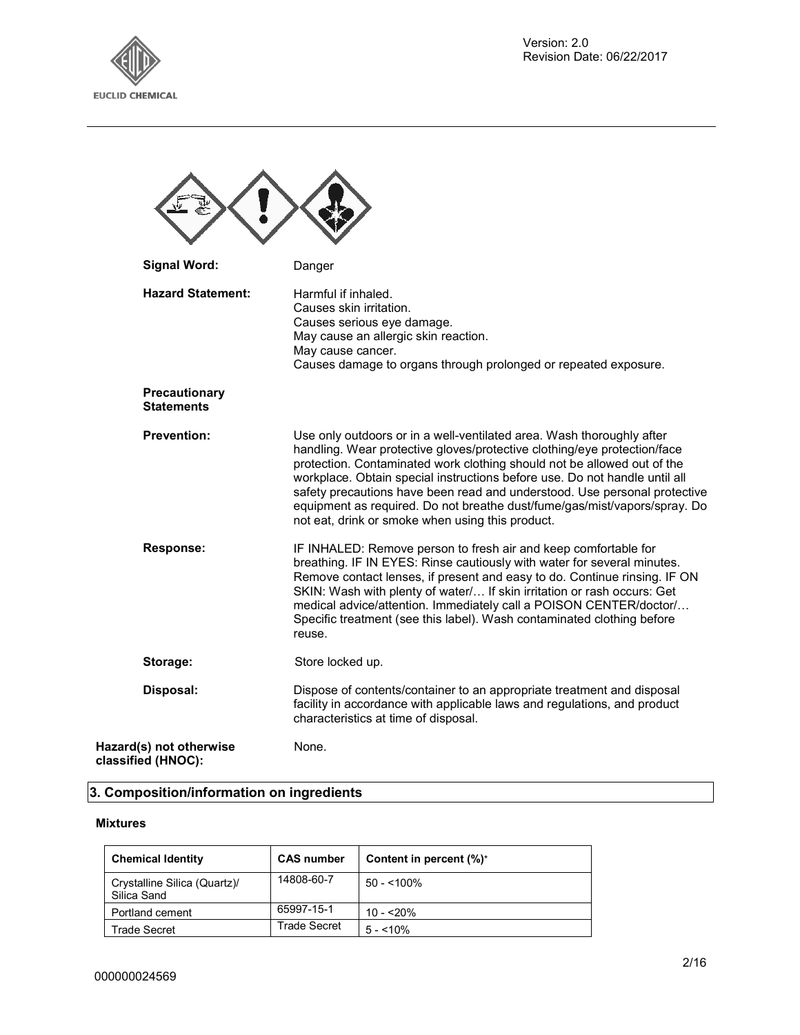

| <b>Signal Word:</b>                           | Danger                                                                                                                                                                                                                                                                                                                                                                                                                                                                                                                   |
|-----------------------------------------------|--------------------------------------------------------------------------------------------------------------------------------------------------------------------------------------------------------------------------------------------------------------------------------------------------------------------------------------------------------------------------------------------------------------------------------------------------------------------------------------------------------------------------|
| <b>Hazard Statement:</b>                      | Harmful if inhaled.<br>Causes skin irritation.<br>Causes serious eye damage.<br>May cause an allergic skin reaction.<br>May cause cancer.<br>Causes damage to organs through prolonged or repeated exposure.                                                                                                                                                                                                                                                                                                             |
| Precautionary<br><b>Statements</b>            |                                                                                                                                                                                                                                                                                                                                                                                                                                                                                                                          |
| <b>Prevention:</b>                            | Use only outdoors or in a well-ventilated area. Wash thoroughly after<br>handling. Wear protective gloves/protective clothing/eye protection/face<br>protection. Contaminated work clothing should not be allowed out of the<br>workplace. Obtain special instructions before use. Do not handle until all<br>safety precautions have been read and understood. Use personal protective<br>equipment as required. Do not breathe dust/fume/gas/mist/vapors/spray. Do<br>not eat, drink or smoke when using this product. |
| Response:                                     | IF INHALED: Remove person to fresh air and keep comfortable for<br>breathing. IF IN EYES: Rinse cautiously with water for several minutes.<br>Remove contact lenses, if present and easy to do. Continue rinsing. IF ON<br>SKIN: Wash with plenty of water/ If skin irritation or rash occurs: Get<br>medical advice/attention. Immediately call a POISON CENTER/doctor/<br>Specific treatment (see this label). Wash contaminated clothing before<br>reuse.                                                             |
| Storage:                                      | Store locked up.                                                                                                                                                                                                                                                                                                                                                                                                                                                                                                         |
| Disposal:                                     | Dispose of contents/container to an appropriate treatment and disposal<br>facility in accordance with applicable laws and regulations, and product<br>characteristics at time of disposal.                                                                                                                                                                                                                                                                                                                               |
| Hazard(s) not otherwise<br>classified (HNOC): | None.                                                                                                                                                                                                                                                                                                                                                                                                                                                                                                                    |

# **3. Composition/information on ingredients**

#### **Mixtures**

| <b>Chemical Identity</b>                    | <b>CAS number</b> | Content in percent (%)* |
|---------------------------------------------|-------------------|-------------------------|
| Crystalline Silica (Quartz)/<br>Silica Sand | 14808-60-7        | $50 - 100\%$            |
| Portland cement                             | 65997-15-1        | $10 - 20%$              |
| Trade Secret                                | Trade Secret      | $5 - 10\%$              |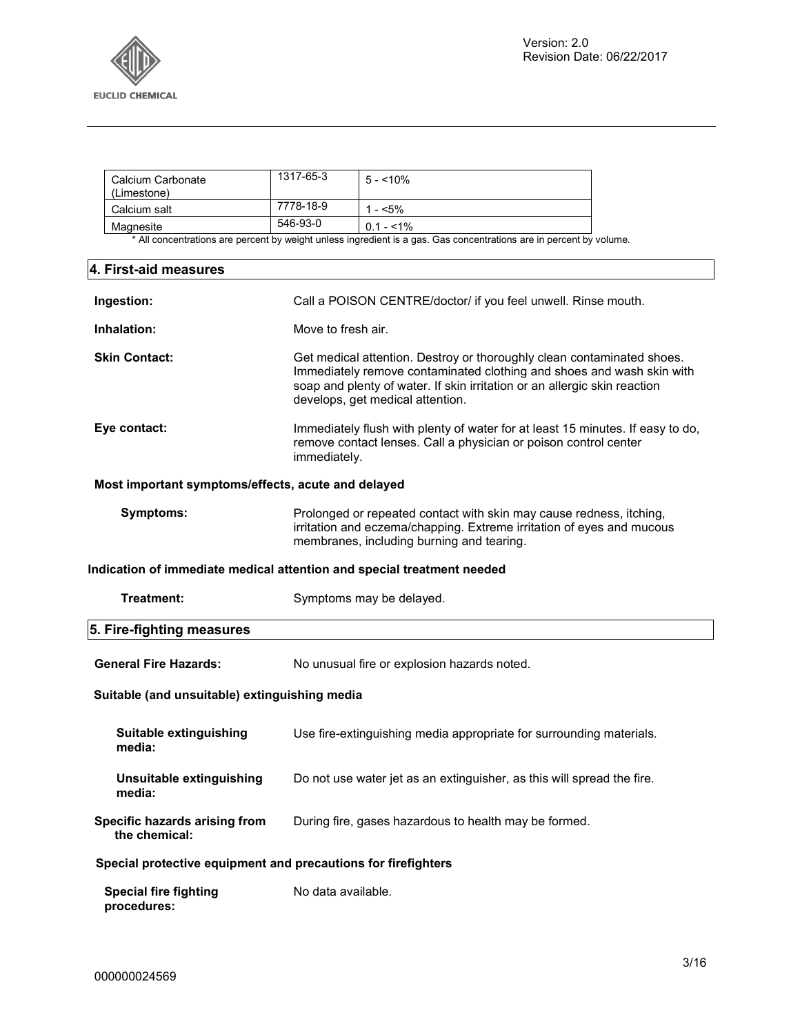

| Calcium Carbonate<br>(Limestone) | 1317-65-3 | $5 - 10\%$  |
|----------------------------------|-----------|-------------|
| Calcium salt                     | 7778-18-9 | - <5%       |
| Magnesite                        | 546-93-0  | $0.1 - 1\%$ |

\* All concentrations are percent by weight unless ingredient is a gas. Gas concentrations are in percent by volume.

| 4. First-aid measures                                         |                                                                                                                                                                                                                                                                  |  |
|---------------------------------------------------------------|------------------------------------------------------------------------------------------------------------------------------------------------------------------------------------------------------------------------------------------------------------------|--|
| Ingestion:                                                    | Call a POISON CENTRE/doctor/ if you feel unwell. Rinse mouth.                                                                                                                                                                                                    |  |
| Inhalation:                                                   | Move to fresh air.                                                                                                                                                                                                                                               |  |
| <b>Skin Contact:</b>                                          | Get medical attention. Destroy or thoroughly clean contaminated shoes.<br>Immediately remove contaminated clothing and shoes and wash skin with<br>soap and plenty of water. If skin irritation or an allergic skin reaction<br>develops, get medical attention. |  |
| Eye contact:                                                  | Immediately flush with plenty of water for at least 15 minutes. If easy to do,<br>remove contact lenses. Call a physician or poison control center<br>immediately.                                                                                               |  |
| Most important symptoms/effects, acute and delayed            |                                                                                                                                                                                                                                                                  |  |
| <b>Symptoms:</b>                                              | Prolonged or repeated contact with skin may cause redness, itching,<br>irritation and eczema/chapping. Extreme irritation of eyes and mucous<br>membranes, including burning and tearing.                                                                        |  |
|                                                               | Indication of immediate medical attention and special treatment needed                                                                                                                                                                                           |  |
| Treatment:                                                    | Symptoms may be delayed.                                                                                                                                                                                                                                         |  |
| 5. Fire-fighting measures                                     |                                                                                                                                                                                                                                                                  |  |
| <b>General Fire Hazards:</b>                                  | No unusual fire or explosion hazards noted.                                                                                                                                                                                                                      |  |
| Suitable (and unsuitable) extinguishing media                 |                                                                                                                                                                                                                                                                  |  |
| Suitable extinguishing<br>media:                              | Use fire-extinguishing media appropriate for surrounding materials.                                                                                                                                                                                              |  |
| Unsuitable extinguishing<br>media:                            | Do not use water jet as an extinguisher, as this will spread the fire.                                                                                                                                                                                           |  |
| Specific hazards arising from<br>the chemical:                | During fire, gases hazardous to health may be formed.                                                                                                                                                                                                            |  |
| Special protective equipment and precautions for firefighters |                                                                                                                                                                                                                                                                  |  |
| <b>Special fire fighting</b><br>procedures:                   | No data available.                                                                                                                                                                                                                                               |  |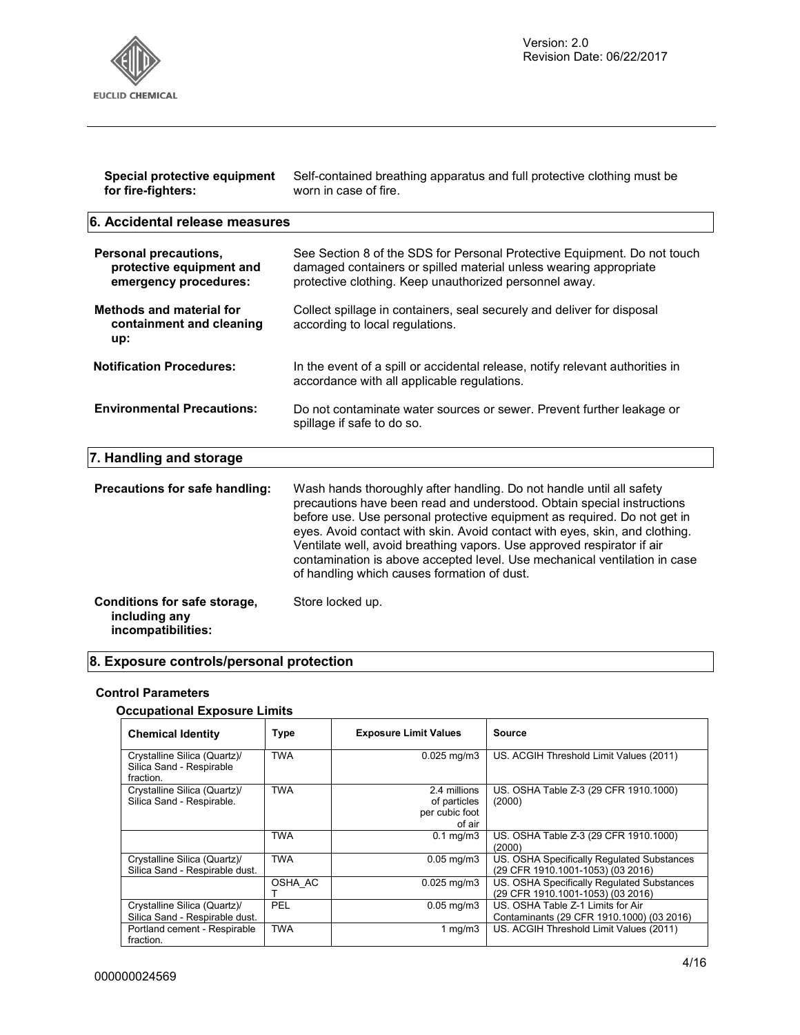

| Special protective equipment   | Self-contained breathing apparatus and full protective clothing must be |  |
|--------------------------------|-------------------------------------------------------------------------|--|
| for fire-fighters:             | worn in case of fire.                                                   |  |
| 6. Accidental release measures |                                                                         |  |

| Personal precautions,<br>protective equipment and<br>emergency procedures: | See Section 8 of the SDS for Personal Protective Equipment. Do not touch<br>damaged containers or spilled material unless wearing appropriate<br>protective clothing. Keep unauthorized personnel away.                                                                                                                                                                                                                                                                                                         |
|----------------------------------------------------------------------------|-----------------------------------------------------------------------------------------------------------------------------------------------------------------------------------------------------------------------------------------------------------------------------------------------------------------------------------------------------------------------------------------------------------------------------------------------------------------------------------------------------------------|
| <b>Methods and material for</b><br>containment and cleaning<br>up:         | Collect spillage in containers, seal securely and deliver for disposal<br>according to local regulations.                                                                                                                                                                                                                                                                                                                                                                                                       |
| <b>Notification Procedures:</b>                                            | In the event of a spill or accidental release, notify relevant authorities in<br>accordance with all applicable regulations.                                                                                                                                                                                                                                                                                                                                                                                    |
| <b>Environmental Precautions:</b>                                          | Do not contaminate water sources or sewer. Prevent further leakage or<br>spillage if safe to do so.                                                                                                                                                                                                                                                                                                                                                                                                             |
| 7. Handling and storage                                                    |                                                                                                                                                                                                                                                                                                                                                                                                                                                                                                                 |
| Precautions for safe handling:                                             | Wash hands thoroughly after handling. Do not handle until all safety<br>precautions have been read and understood. Obtain special instructions<br>before use. Use personal protective equipment as required. Do not get in<br>eyes. Avoid contact with skin. Avoid contact with eyes, skin, and clothing.<br>Ventilate well, avoid breathing vapors. Use approved respirator if air<br>contamination is above accepted level. Use mechanical ventilation in case<br>of handling which causes formation of dust. |
| Conditions for safe storage,<br>including any                              | Store locked up.                                                                                                                                                                                                                                                                                                                                                                                                                                                                                                |

## **8. Exposure controls/personal protection**

#### **Control Parameters**

#### **Occupational Exposure Limits**

| <b>Chemical Identity</b>                                              | <b>Type</b> | <b>Exposure Limit Values</b>                             | Source                                                                          |
|-----------------------------------------------------------------------|-------------|----------------------------------------------------------|---------------------------------------------------------------------------------|
| Crystalline Silica (Quartz)/<br>Silica Sand - Respirable<br>fraction. | TWA         | $0.025$ mg/m $3$                                         | US. ACGIH Threshold Limit Values (2011)                                         |
| Crystalline Silica (Quartz)/<br>Silica Sand - Respirable.             | <b>TWA</b>  | 2.4 millions<br>of particles<br>per cubic foot<br>of air | US. OSHA Table Z-3 (29 CFR 1910.1000)<br>(2000)                                 |
|                                                                       | TWA         | $0.1$ mg/m $3$                                           | US. OSHA Table Z-3 (29 CFR 1910.1000)<br>(2000)                                 |
| Crystalline Silica (Quartz)/<br>Silica Sand - Respirable dust.        | TWA         | $0.05$ mg/m $3$                                          | US. OSHA Specifically Regulated Substances<br>(29 CFR 1910.1001-1053) (03 2016) |
|                                                                       | OSHA AC     | $0.025$ mg/m $3$                                         | US. OSHA Specifically Regulated Substances<br>(29 CFR 1910.1001-1053) (03 2016) |
| Crystalline Silica (Quartz)/<br>Silica Sand - Respirable dust.        | PEL         | $0.05$ mg/m $3$                                          | US. OSHA Table Z-1 Limits for Air<br>Contaminants (29 CFR 1910.1000) (03 2016)  |
| Portland cement - Respirable<br>fraction.                             | <b>TWA</b>  | 1 $mg/m3$                                                | US. ACGIH Threshold Limit Values (2011)                                         |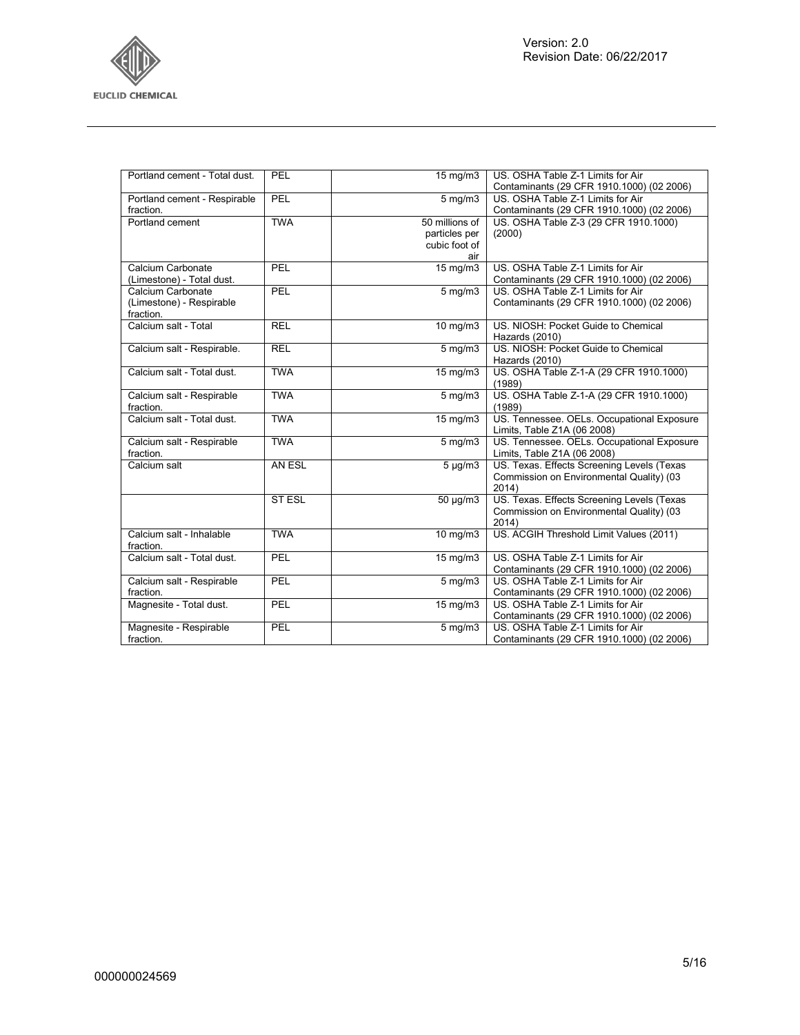

| Portland cement - Total dust. | PEL           | 15 mg/m3                     | US. OSHA Table Z-1 Limits for Air          |
|-------------------------------|---------------|------------------------------|--------------------------------------------|
|                               |               |                              | Contaminants (29 CFR 1910.1000) (02 2006)  |
| Portland cement - Respirable  | PEL           | $5$ mg/m $3$                 | US. OSHA Table Z-1 Limits for Air          |
| fraction.                     |               |                              | Contaminants (29 CFR 1910.1000) (02 2006)  |
| Portland cement               | <b>TWA</b>    | 50 millions of               | US. OSHA Table Z-3 (29 CFR 1910.1000)      |
|                               |               | particles per                | (2000)                                     |
|                               |               | cubic foot of                |                                            |
|                               |               | air                          |                                            |
| Calcium Carbonate             | PEL           | $15 \overline{\text{mg}}$ m3 | US. OSHA Table Z-1 Limits for Air          |
| (Limestone) - Total dust.     |               |                              | Contaminants (29 CFR 1910.1000) (02 2006)  |
| Calcium Carbonate             | PEL           | $5$ mg/m $3$                 | US. OSHA Table Z-1 Limits for Air          |
| (Limestone) - Respirable      |               |                              | Contaminants (29 CFR 1910.1000) (02 2006)  |
| fraction.                     |               |                              |                                            |
| Calcium salt - Total          | <b>REL</b>    | 10 mg/m3                     | US. NIOSH: Pocket Guide to Chemical        |
|                               |               |                              | Hazards (2010)                             |
| Calcium salt - Respirable.    | <b>REL</b>    | $5$ mg/m $3$                 | US. NIOSH: Pocket Guide to Chemical        |
|                               |               |                              | Hazards (2010)                             |
| Calcium salt - Total dust.    | <b>TWA</b>    | 15 mg/m3                     | US. OSHA Table Z-1-A (29 CFR 1910.1000)    |
|                               |               |                              | (1989)                                     |
| Calcium salt - Respirable     | <b>TWA</b>    | $5$ mg/m $3$                 | US. OSHA Table Z-1-A (29 CFR 1910.1000)    |
| fraction.                     |               |                              | (1989)                                     |
| Calcium salt - Total dust.    | <b>TWA</b>    | 15 mg/m3                     | US. Tennessee. OELs. Occupational Exposure |
|                               |               |                              | Limits, Table Z1A (06 2008)                |
| Calcium salt - Respirable     | <b>TWA</b>    | $5$ mg/m $3$                 | US. Tennessee. OELs. Occupational Exposure |
| fraction.                     |               |                              | Limits, Table Z1A (06 2008)                |
| Calcium salt                  | AN ESL        | $5 \mu g/m3$                 | US. Texas. Effects Screening Levels (Texas |
|                               |               |                              | Commission on Environmental Quality) (03   |
|                               |               |                              | 2014)                                      |
|                               | <b>ST ESL</b> | 50 µg/m3                     | US. Texas. Effects Screening Levels (Texas |
|                               |               |                              | Commission on Environmental Quality) (03   |
|                               |               |                              | 2014)                                      |
| Calcium salt - Inhalable      | <b>TWA</b>    | 10 mg/m3                     | US. ACGIH Threshold Limit Values (2011)    |
| fraction.                     |               |                              |                                            |
| Calcium salt - Total dust.    | PEL           | $15 \text{ mg/m}$            | US. OSHA Table Z-1 Limits for Air          |
|                               |               |                              | Contaminants (29 CFR 1910.1000) (02 2006)  |
| Calcium salt - Respirable     | PEL           | $5$ mg/m $3$                 | US. OSHA Table Z-1 Limits for Air          |
| fraction.                     |               |                              | Contaminants (29 CFR 1910.1000) (02 2006)  |
| Magnesite - Total dust.       | PEL           | 15 mg/m3                     | US. OSHA Table Z-1 Limits for Air          |
|                               |               |                              | Contaminants (29 CFR 1910.1000) (02 2006)  |
| Magnesite - Respirable        | PEL           | $5$ mg/m $3$                 | US. OSHA Table Z-1 Limits for Air          |
| fraction.                     |               |                              | Contaminants (29 CFR 1910.1000) (02 2006)  |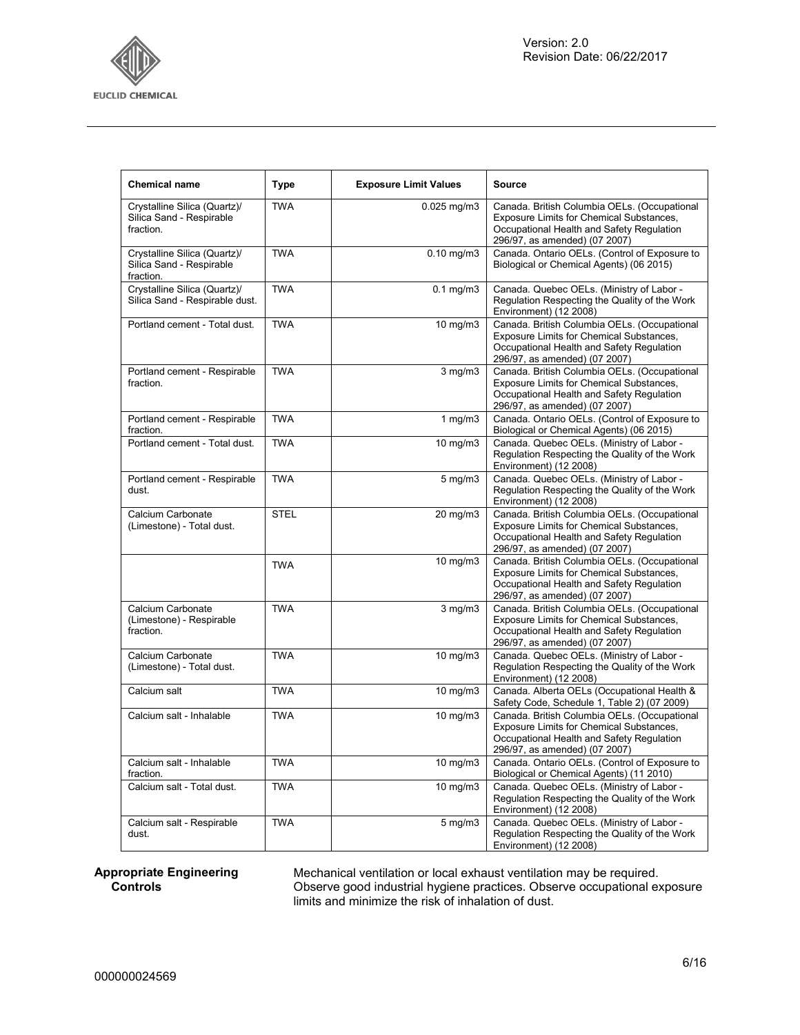

 $\overline{1}$ 

 $\top$ 

┯

 $\top$ 

٦

| <b>Chemical name</b>                                                  | <b>Type</b> | <b>Exposure Limit Values</b> | <b>Source</b>                                                                                                                                                          |
|-----------------------------------------------------------------------|-------------|------------------------------|------------------------------------------------------------------------------------------------------------------------------------------------------------------------|
| Crystalline Silica (Quartz)/<br>Silica Sand - Respirable<br>fraction. | <b>TWA</b>  | $0.025$ mg/m $3$             | Canada. British Columbia OELs. (Occupational<br>Exposure Limits for Chemical Substances,<br>Occupational Health and Safety Regulation<br>296/97, as amended) (07 2007) |
| Crystalline Silica (Quartz)/<br>Silica Sand - Respirable<br>fraction. | <b>TWA</b>  | 0.10 mg/m3                   | Canada. Ontario OELs. (Control of Exposure to<br>Biological or Chemical Agents) (06 2015)                                                                              |
| Crystalline Silica (Quartz)/<br>Silica Sand - Respirable dust.        | <b>TWA</b>  | $0.1$ mg/m $3$               | Canada. Quebec OELs. (Ministry of Labor -<br>Regulation Respecting the Quality of the Work<br>Environment) (12 2008)                                                   |
| Portland cement - Total dust.                                         | <b>TWA</b>  | 10 mg/m3                     | Canada. British Columbia OELs. (Occupational<br>Exposure Limits for Chemical Substances,<br>Occupational Health and Safety Regulation<br>296/97, as amended) (07 2007) |
| Portland cement - Respirable<br>fraction.                             | <b>TWA</b>  | $3$ mg/m $3$                 | Canada. British Columbia OELs. (Occupational<br>Exposure Limits for Chemical Substances,<br>Occupational Health and Safety Regulation<br>296/97, as amended) (07 2007) |
| Portland cement - Respirable<br>fraction.                             | <b>TWA</b>  | 1 $mg/m3$                    | Canada. Ontario OELs. (Control of Exposure to<br>Biological or Chemical Agents) (06 2015)                                                                              |
| Portland cement - Total dust.                                         | <b>TWA</b>  | 10 mg/m3                     | Canada. Quebec OELs. (Ministry of Labor -<br>Regulation Respecting the Quality of the Work<br>Environment) (12 2008)                                                   |
| Portland cement - Respirable<br>dust.                                 | <b>TWA</b>  | $5$ mg/m $3$                 | Canada. Quebec OELs. (Ministry of Labor -<br>Regulation Respecting the Quality of the Work<br>Environment) (12 2008)                                                   |
| Calcium Carbonate<br>(Limestone) - Total dust.                        | <b>STEL</b> | 20 mg/m3                     | Canada. British Columbia OELs. (Occupational<br>Exposure Limits for Chemical Substances,<br>Occupational Health and Safety Regulation<br>296/97, as amended) (07 2007) |
|                                                                       | <b>TWA</b>  | 10 mg/m3                     | Canada. British Columbia OELs. (Occupational<br>Exposure Limits for Chemical Substances,<br>Occupational Health and Safety Regulation<br>296/97, as amended) (07 2007) |
| Calcium Carbonate<br>(Limestone) - Respirable<br>fraction.            | <b>TWA</b>  | 3 mg/m3                      | Canada. British Columbia OELs. (Occupational<br>Exposure Limits for Chemical Substances,<br>Occupational Health and Safety Regulation<br>296/97, as amended) (07 2007) |
| Calcium Carbonate<br>(Limestone) - Total dust.                        | <b>TWA</b>  | $10$ mg/m $3$                | Canada. Quebec OELs. (Ministry of Labor -<br>Regulation Respecting the Quality of the Work<br>Environment) (12 2008)                                                   |
| Calcium salt                                                          | <b>TWA</b>  | $10$ mg/m $3$                | Canada. Alberta OELs (Occupational Health &<br>Safety Code, Schedule 1, Table 2) (07 2009)                                                                             |
| Calcium salt - Inhalable                                              | <b>TWA</b>  | 10 mg/m3                     | Canada. British Columbia OELs. (Occupational<br>Exposure Limits for Chemical Substances,<br>Occupational Health and Safety Regulation<br>296/97, as amended) (07 2007) |
| Calcium salt - Inhalable<br>fraction.                                 | <b>TWA</b>  | 10 mg/m3                     | Canada. Ontario OELs. (Control of Exposure to<br>Biological or Chemical Agents) (11 2010)                                                                              |
| Calcium salt - Total dust.                                            | <b>TWA</b>  | 10 mg/m3                     | Canada. Quebec OELs. (Ministry of Labor -<br>Regulation Respecting the Quality of the Work<br>Environment) (12 2008)                                                   |
| Calcium salt - Respirable<br>dust.                                    | <b>TWA</b>  | $5 \text{ mg/m}$             | Canada. Quebec OELs. (Ministry of Labor -<br>Regulation Respecting the Quality of the Work<br>Environment) (12 2008)                                                   |

#### **Appropriate Engineering Controls**

Mechanical ventilation or local exhaust ventilation may be required. Observe good industrial hygiene practices. Observe occupational exposure limits and minimize the risk of inhalation of dust.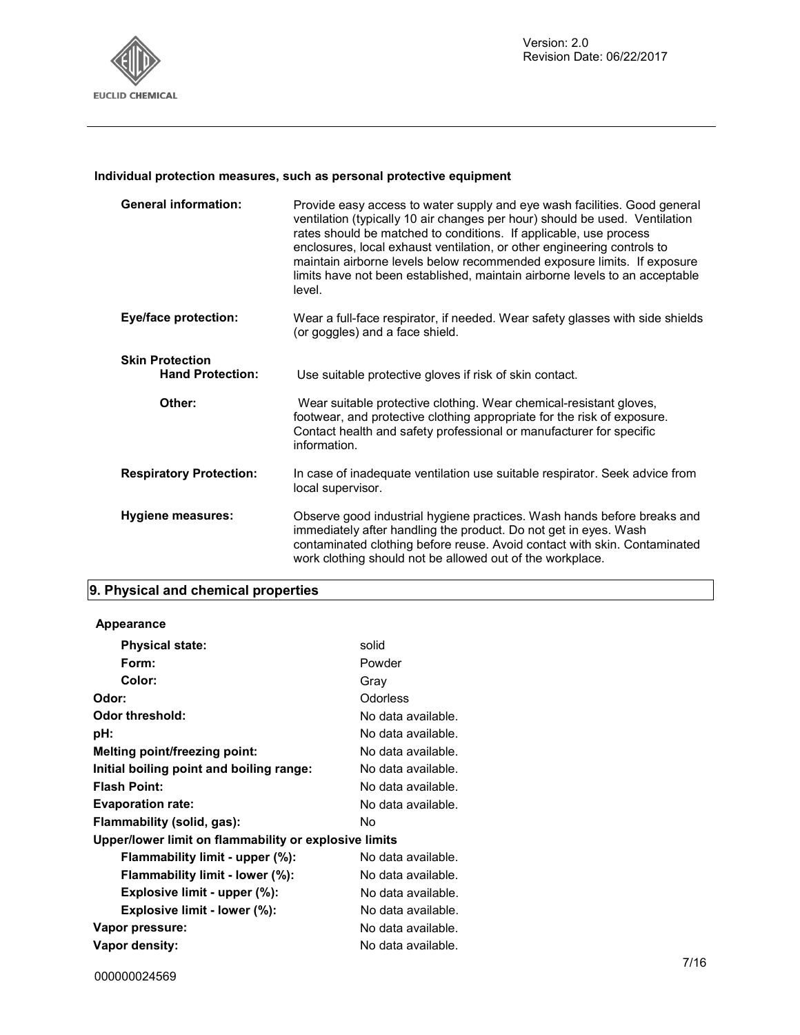

#### **Individual protection measures, such as personal protective equipment**

| <b>General information:</b>                       | Provide easy access to water supply and eye wash facilities. Good general<br>ventilation (typically 10 air changes per hour) should be used. Ventilation<br>rates should be matched to conditions. If applicable, use process<br>enclosures, local exhaust ventilation, or other engineering controls to<br>maintain airborne levels below recommended exposure limits. If exposure<br>limits have not been established, maintain airborne levels to an acceptable<br>level. |
|---------------------------------------------------|------------------------------------------------------------------------------------------------------------------------------------------------------------------------------------------------------------------------------------------------------------------------------------------------------------------------------------------------------------------------------------------------------------------------------------------------------------------------------|
| <b>Eye/face protection:</b>                       | Wear a full-face respirator, if needed. Wear safety glasses with side shields<br>(or goggles) and a face shield.                                                                                                                                                                                                                                                                                                                                                             |
| <b>Skin Protection</b><br><b>Hand Protection:</b> | Use suitable protective gloves if risk of skin contact.                                                                                                                                                                                                                                                                                                                                                                                                                      |
| Other:                                            | Wear suitable protective clothing. Wear chemical-resistant gloves,<br>footwear, and protective clothing appropriate for the risk of exposure.<br>Contact health and safety professional or manufacturer for specific<br>information.                                                                                                                                                                                                                                         |
| <b>Respiratory Protection:</b>                    | In case of inadequate ventilation use suitable respirator. Seek advice from<br>local supervisor.                                                                                                                                                                                                                                                                                                                                                                             |
| Hygiene measures:                                 | Observe good industrial hygiene practices. Wash hands before breaks and<br>immediately after handling the product. Do not get in eyes. Wash<br>contaminated clothing before reuse. Avoid contact with skin. Contaminated<br>work clothing should not be allowed out of the workplace.                                                                                                                                                                                        |

#### **9. Physical and chemical properties**

# **Appearance Physical state:** solid Form: Powder **Color:** Gray **Odor:** Odorless **Odor threshold:** No data available. **pH:** No data available. **Melting point/freezing point:** No data available. **Initial boiling point and boiling range:** No data available. **Flash Point:** No data available. **Evaporation rate:** No data available. **Flammability (solid, gas):** No **Upper/lower limit on flammability or explosive limits Flammability limit - upper (%):** No data available. **Flammability limit - lower (%):** No data available. **Explosive limit - upper (%):** No data available. **Explosive limit - lower (%):** No data available. Vapor pressure:  $\blacksquare$  No data available. **Vapor density:** No data available.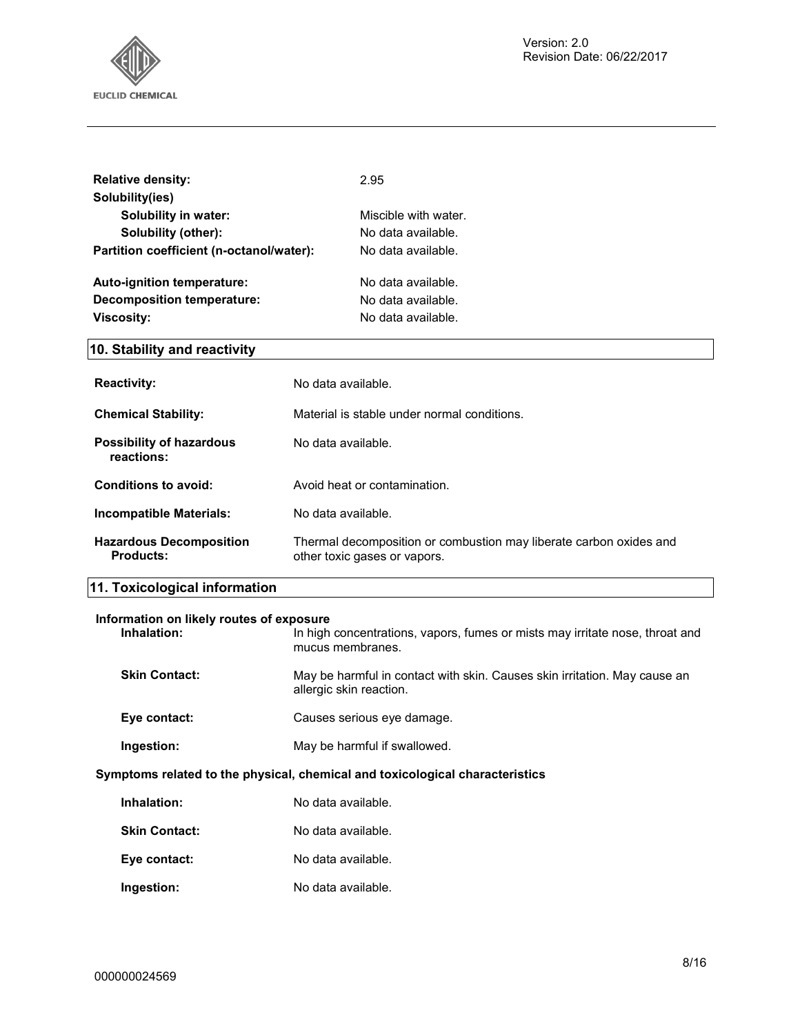

| <b>Relative density:</b><br>Solubility(ies)                                                                                                                 | 2.95                                                                                                 |  |
|-------------------------------------------------------------------------------------------------------------------------------------------------------------|------------------------------------------------------------------------------------------------------|--|
| <b>Solubility in water:</b>                                                                                                                                 | Miscible with water.                                                                                 |  |
| Solubility (other):                                                                                                                                         | No data available.                                                                                   |  |
| Partition coefficient (n-octanol/water):                                                                                                                    | No data available.                                                                                   |  |
| Auto-ignition temperature:                                                                                                                                  | No data available.                                                                                   |  |
| <b>Decomposition temperature:</b>                                                                                                                           | No data available.                                                                                   |  |
| <b>Viscosity:</b>                                                                                                                                           | No data available.                                                                                   |  |
| 10. Stability and reactivity                                                                                                                                |                                                                                                      |  |
| <b>Reactivity:</b>                                                                                                                                          | No data available.                                                                                   |  |
| <b>Chemical Stability:</b>                                                                                                                                  | Material is stable under normal conditions.                                                          |  |
| <b>Possibility of hazardous</b><br>reactions:                                                                                                               | No data available.                                                                                   |  |
| <b>Conditions to avoid:</b>                                                                                                                                 | Avoid heat or contamination.                                                                         |  |
| <b>Incompatible Materials:</b>                                                                                                                              | No data available.                                                                                   |  |
| <b>Hazardous Decomposition</b><br><b>Products:</b>                                                                                                          | Thermal decomposition or combustion may liberate carbon oxides and<br>other toxic gases or vapors.   |  |
| 11. Toxicological information                                                                                                                               |                                                                                                      |  |
| Information on likely routes of exposure<br>Inhalation:<br>In high concentrations, vapors, fumes or mists may irritate nose, throat and<br>mucus membranes. |                                                                                                      |  |
| <b>Skin Contact:</b>                                                                                                                                        | May be harmful in contact with skin. Causes skin irritation. May cause an<br>allergic skin reaction. |  |
| Eye contact:                                                                                                                                                | Causes serious eye damage.                                                                           |  |
| Ingestion:                                                                                                                                                  | May be harmful if swallowed.                                                                         |  |
| Symptoms related to the physical, chemical and toxicological characteristics                                                                                |                                                                                                      |  |
| Inhalation:                                                                                                                                                 | No data available.                                                                                   |  |
| <b>Skin Contact:</b>                                                                                                                                        | No data available.                                                                                   |  |
| Eye contact:                                                                                                                                                | No data available.                                                                                   |  |
| Ingestion:                                                                                                                                                  | No data available.                                                                                   |  |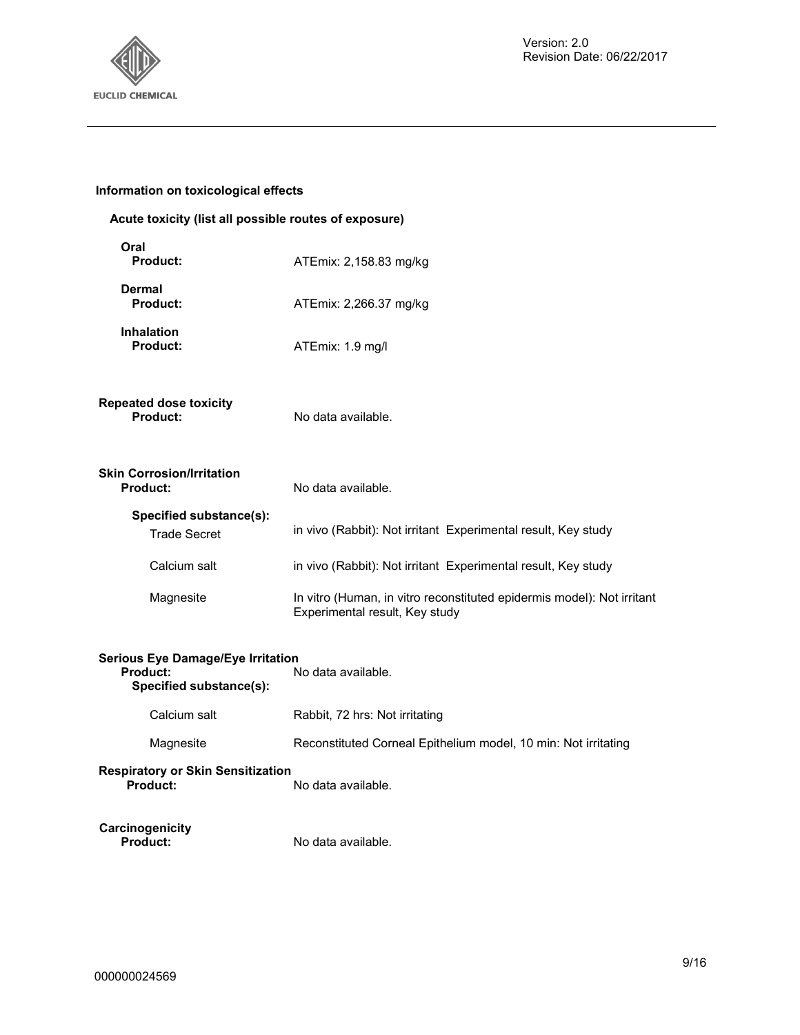

#### **Information on toxicological effects**

| Acute toxicity (list all possible routes of exposure)                                  |                                                                                                          |  |
|----------------------------------------------------------------------------------------|----------------------------------------------------------------------------------------------------------|--|
| Oral<br>Product:                                                                       | ATEmix: 2,158.83 mg/kg                                                                                   |  |
| <b>Dermal</b><br>Product:                                                              | ATEmix: 2,266.37 mg/kg                                                                                   |  |
| <b>Inhalation</b><br>Product:                                                          | ATEmix: 1.9 mg/l                                                                                         |  |
| <b>Repeated dose toxicity</b><br>Product:                                              | No data available.                                                                                       |  |
| <b>Skin Corrosion/Irritation</b><br>Product:                                           | No data available.                                                                                       |  |
| Specified substance(s):<br><b>Trade Secret</b>                                         | in vivo (Rabbit): Not irritant Experimental result, Key study                                            |  |
| Calcium salt                                                                           | in vivo (Rabbit): Not irritant Experimental result, Key study                                            |  |
| Magnesite                                                                              | In vitro (Human, in vitro reconstituted epidermis model): Not irritant<br>Experimental result, Key study |  |
| <b>Serious Eye Damage/Eye Irritation</b><br><b>Product:</b><br>Specified substance(s): | No data available.                                                                                       |  |
| Calcium salt                                                                           | Rabbit, 72 hrs: Not irritating                                                                           |  |

Magnesite Reconstituted Corneal Epithelium model, 10 min: Not irritating

**Respiratory or Skin Sensitization**  No data available.

**Carcinogenicity** 

No data available.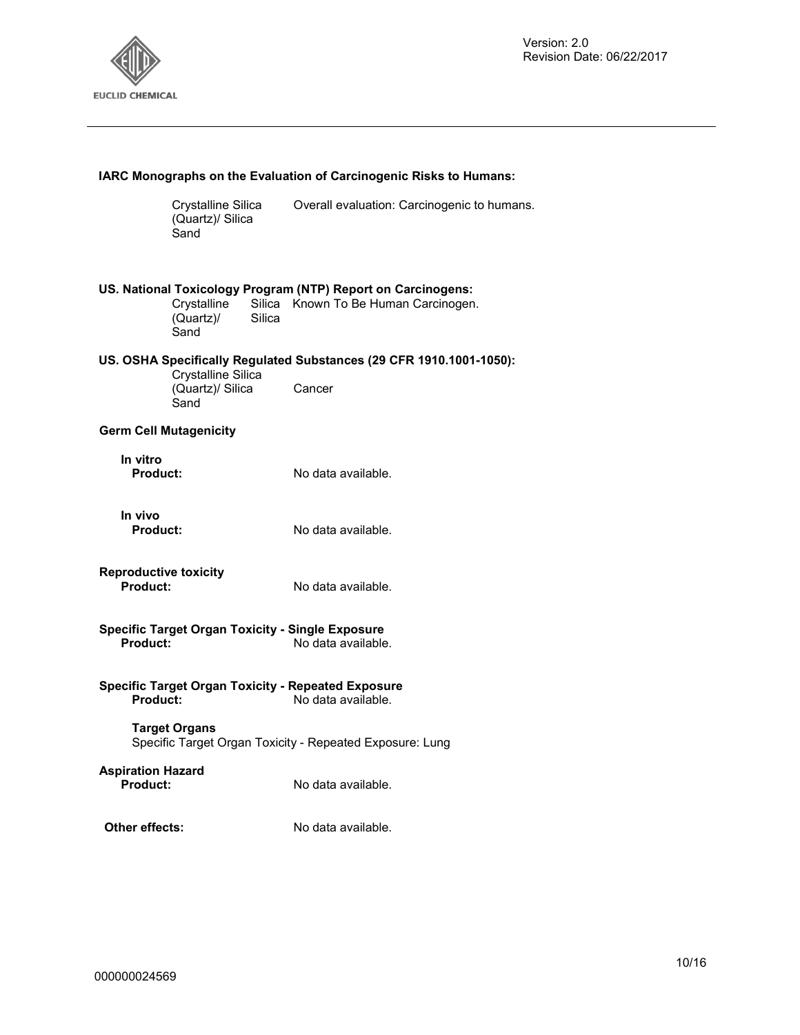

| IARC Monographs on the Evaluation of Carcinogenic Risks to Humans:                          |                                                |                                                                                                                |
|---------------------------------------------------------------------------------------------|------------------------------------------------|----------------------------------------------------------------------------------------------------------------|
|                                                                                             | Crystalline Silica<br>(Quartz)/ Silica<br>Sand | Overall evaluation: Carcinogenic to humans.                                                                    |
|                                                                                             | Crystalline<br>(Quartz)<br>Sand                | US. National Toxicology Program (NTP) Report on Carcinogens:<br>Silica Known To Be Human Carcinogen.<br>Silica |
|                                                                                             |                                                | US. OSHA Specifically Regulated Substances (29 CFR 1910.1001-1050):                                            |
|                                                                                             | Crystalline Silica<br>(Quartz)/ Silica<br>Sand | Cancer                                                                                                         |
|                                                                                             | <b>Germ Cell Mutagenicity</b>                  |                                                                                                                |
| In vitro<br>Product:                                                                        |                                                | No data available.                                                                                             |
| In vivo<br><b>Product:</b>                                                                  |                                                | No data available.                                                                                             |
| <b>Reproductive toxicity</b><br>Product:                                                    |                                                | No data available.                                                                                             |
| <b>Specific Target Organ Toxicity - Single Exposure</b><br>No data available.<br>Product:   |                                                |                                                                                                                |
| <b>Specific Target Organ Toxicity - Repeated Exposure</b><br>Product:<br>No data available. |                                                |                                                                                                                |
| <b>Target Organs</b><br>Specific Target Organ Toxicity - Repeated Exposure: Lung            |                                                |                                                                                                                |
| <b>Aspiration Hazard</b><br><b>Product:</b>                                                 |                                                | No data available.                                                                                             |
| Other effects:                                                                              |                                                | No data available.                                                                                             |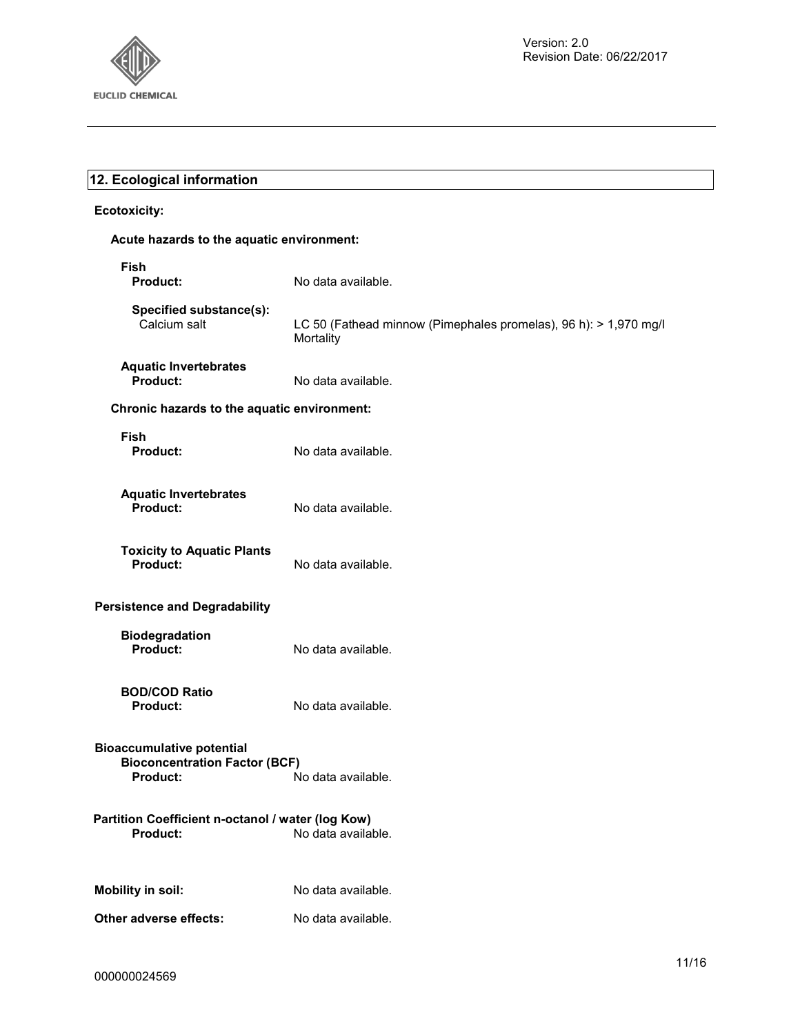

# **12. Ecological information**

#### **Ecotoxicity:**

#### **Acute hazards to the aquatic environment:**

| Fish<br><b>Product:</b>                                                              | No data available.                                                            |  |
|--------------------------------------------------------------------------------------|-------------------------------------------------------------------------------|--|
| Specified substance(s):<br>Calcium salt                                              | LC 50 (Fathead minnow (Pimephales promelas), 96 h): > 1,970 mg/l<br>Mortality |  |
| <b>Aquatic Invertebrates</b><br>Product:                                             | No data available.                                                            |  |
| Chronic hazards to the aquatic environment:                                          |                                                                               |  |
| <b>Fish</b><br><b>Product:</b>                                                       | No data available.                                                            |  |
| <b>Aquatic Invertebrates</b><br>Product:                                             | No data available.                                                            |  |
| <b>Toxicity to Aquatic Plants</b><br><b>Product:</b>                                 | No data available.                                                            |  |
| <b>Persistence and Degradability</b>                                                 |                                                                               |  |
| <b>Biodegradation</b><br>Product:                                                    | No data available.                                                            |  |
| <b>BOD/COD Ratio</b><br><b>Product:</b>                                              | No data available.                                                            |  |
| <b>Bioaccumulative potential</b><br><b>Bioconcentration Factor (BCF)</b><br>Product: | No data available.                                                            |  |
| Partition Coefficient n-octanol / water (log Kow)<br>Product:<br>No data available.  |                                                                               |  |
| <b>Mobility in soil:</b>                                                             | No data available.                                                            |  |
| Other adverse effects:                                                               | No data available.                                                            |  |
|                                                                                      |                                                                               |  |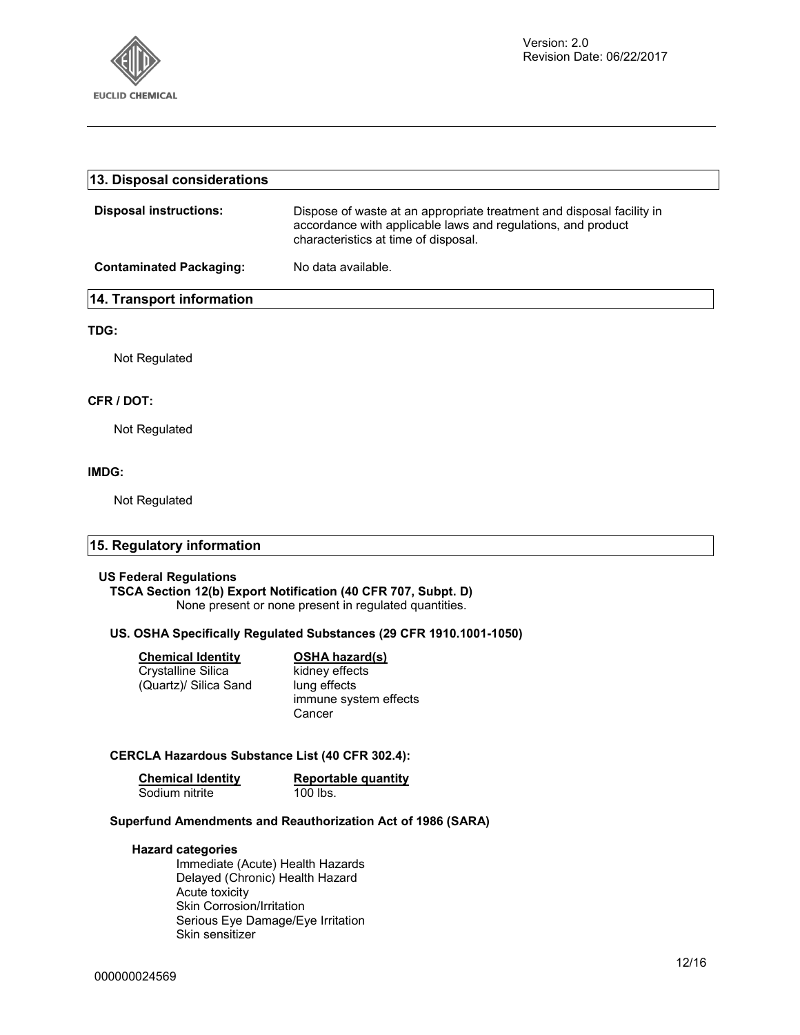

| 13. Disposal considerations    |                                                                                                                                                                               |
|--------------------------------|-------------------------------------------------------------------------------------------------------------------------------------------------------------------------------|
| <b>Disposal instructions:</b>  | Dispose of waste at an appropriate treatment and disposal facility in<br>accordance with applicable laws and regulations, and product<br>characteristics at time of disposal. |
| <b>Contaminated Packaging:</b> | No data available.                                                                                                                                                            |
| 14. Transport information      |                                                                                                                                                                               |
| TDG:                           |                                                                                                                                                                               |
| Not Regulated                  |                                                                                                                                                                               |

#### **CFR / DOT:**

Not Regulated

#### **IMDG:**

Not Regulated

#### **15. Regulatory information**

#### **US Federal Regulations**

**TSCA Section 12(b) Export Notification (40 CFR 707, Subpt. D)**  None present or none present in regulated quantities.

#### **US. OSHA Specifically Regulated Substances (29 CFR 1910.1001-1050)**

| <b>Chemical Identity</b> | <b>OSHA hazard(s)</b> |
|--------------------------|-----------------------|
| Crystalline Silica       | kidney effects        |
| (Quartz)/ Silica Sand    | lung effects          |
|                          | immune system effects |
|                          | Cancer                |

#### **CERCLA Hazardous Substance List (40 CFR 302.4):**

| <b>Chemical Identity</b> | Reportable quantity |
|--------------------------|---------------------|
| Sodium nitrite           | $100$ lbs.          |

#### **Superfund Amendments and Reauthorization Act of 1986 (SARA)**

#### **Hazard categories**

Immediate (Acute) Health Hazards Delayed (Chronic) Health Hazard Acute toxicity Skin Corrosion/Irritation Serious Eye Damage/Eye Irritation Skin sensitizer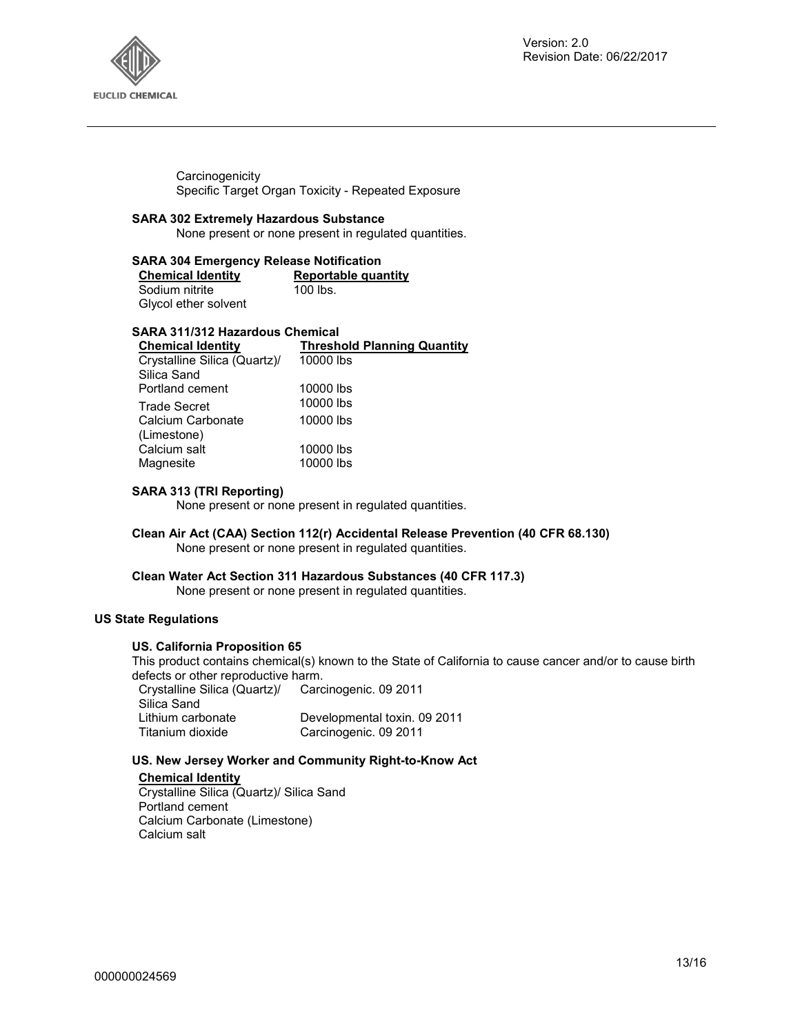

**Carcinogenicity** Specific Target Organ Toxicity - Repeated Exposure

#### **SARA 302 Extremely Hazardous Substance**

None present or none present in regulated quantities.

#### **SARA 304 Emergency Release Notification**

| <b>Chemical Identity</b> | Reportable quantity |
|--------------------------|---------------------|
| Sodium nitrite           | $100$ lbs.          |
| Glycol ether solvent     |                     |

#### **SARA 311/312 Hazardous Chemical**

| <b>Chemical Identity</b>     | <b>Threshold Planning Quantity</b> |
|------------------------------|------------------------------------|
| Crystalline Silica (Quartz)/ | 10000 lbs                          |
| Silica Sand                  |                                    |
| Portland cement              | 10000 lbs                          |
| <b>Trade Secret</b>          | 10000 lbs                          |
| Calcium Carbonate            | 10000 lbs                          |
| (Limestone)                  |                                    |
| Calcium salt                 | 10000 lbs                          |
| Magnesite                    | 10000 lbs                          |
|                              |                                    |

#### **SARA 313 (TRI Reporting)**

None present or none present in regulated quantities.

#### **Clean Air Act (CAA) Section 112(r) Accidental Release Prevention (40 CFR 68.130)**  None present or none present in regulated quantities.

#### **Clean Water Act Section 311 Hazardous Substances (40 CFR 117.3)**

None present or none present in regulated quantities.

#### **US State Regulations**

#### **US. California Proposition 65**

This product contains chemical(s) known to the State of California to cause cancer and/or to cause birth defects or other reproductive harm.

| Crystalline Silica (Quartz)/ | Carcinogenic. 09 2011        |
|------------------------------|------------------------------|
| Silica Sand                  |                              |
| Lithium carbonate            | Developmental toxin. 09 2011 |
| Titanium dioxide             | Carcinogenic. 09 2011        |

#### **US. New Jersey Worker and Community Right-to-Know Act**

#### **Chemical Identity**

Crystalline Silica (Quartz)/ Silica Sand Portland cement Calcium Carbonate (Limestone) Calcium salt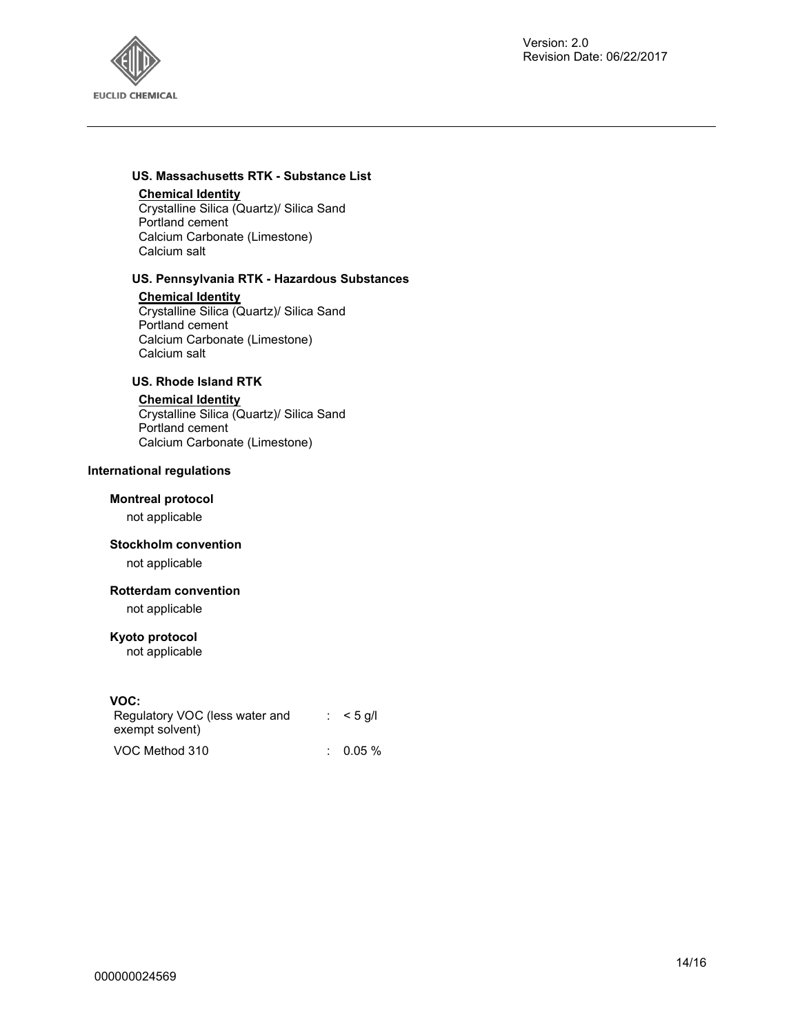

#### **US. Massachusetts RTK - Substance List**

#### **Chemical Identity**

Crystalline Silica (Quartz)/ Silica Sand Portland cement Calcium Carbonate (Limestone) Calcium salt

#### **US. Pennsylvania RTK - Hazardous Substances**

**Chemical Identity**

Crystalline Silica (Quartz)/ Silica Sand Portland cement Calcium Carbonate (Limestone) Calcium salt

### **US. Rhode Island RTK**

#### **Chemical Identity**

Crystalline Silica (Quartz)/ Silica Sand Portland cement Calcium Carbonate (Limestone)

#### **International regulations**

#### **Montreal protocol**

not applicable

#### **Stockholm convention**

not applicable

#### **Rotterdam convention**

not applicable

#### **Kyoto protocol**

not applicable

#### **VOC:**

| Regulatory VOC (less water and | $:$ < 5 g/l         |
|--------------------------------|---------------------|
| exempt solvent)                |                     |
| VOC Method 310                 | $\therefore$ 0.05 % |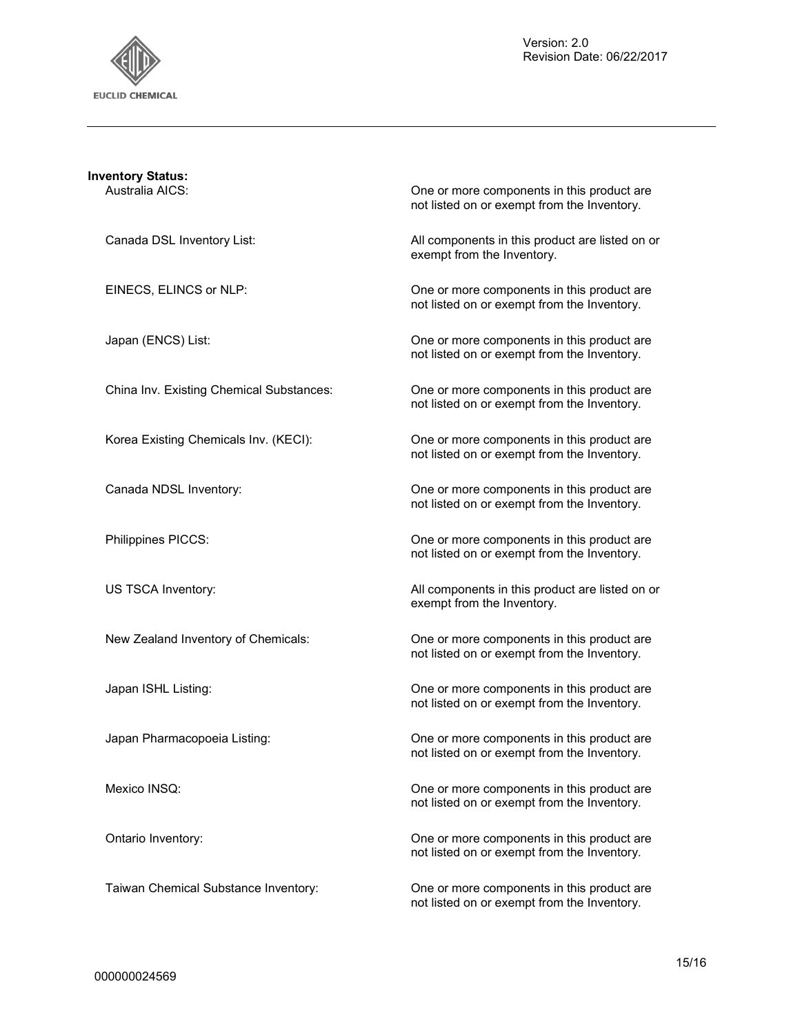

| <b>Inventory Status:</b><br>Australia AICS: | One or more components in this product are<br>not listed on or exempt from the Inventory. |
|---------------------------------------------|-------------------------------------------------------------------------------------------|
| Canada DSL Inventory List:                  | All components in this product are listed on or<br>exempt from the Inventory.             |
| EINECS, ELINCS or NLP:                      | One or more components in this product are<br>not listed on or exempt from the Inventory. |
| Japan (ENCS) List:                          | One or more components in this product are<br>not listed on or exempt from the Inventory. |
| China Inv. Existing Chemical Substances:    | One or more components in this product are<br>not listed on or exempt from the Inventory. |
| Korea Existing Chemicals Inv. (KECI):       | One or more components in this product are<br>not listed on or exempt from the Inventory. |
| Canada NDSL Inventory:                      | One or more components in this product are<br>not listed on or exempt from the Inventory. |
| Philippines PICCS:                          | One or more components in this product are<br>not listed on or exempt from the Inventory. |
| US TSCA Inventory:                          | All components in this product are listed on or<br>exempt from the Inventory.             |
| New Zealand Inventory of Chemicals:         | One or more components in this product are<br>not listed on or exempt from the Inventory. |
| Japan ISHL Listing:                         | One or more components in this product are<br>not listed on or exempt from the Inventory. |
| Japan Pharmacopoeia Listing:                | One or more components in this product are<br>not listed on or exempt from the Inventory. |
| Mexico INSQ:                                | One or more components in this product are<br>not listed on or exempt from the Inventory. |
| Ontario Inventory:                          | One or more components in this product are<br>not listed on or exempt from the Inventory. |
| Taiwan Chemical Substance Inventory:        | One or more components in this product are<br>not listed on or exempt from the Inventory. |